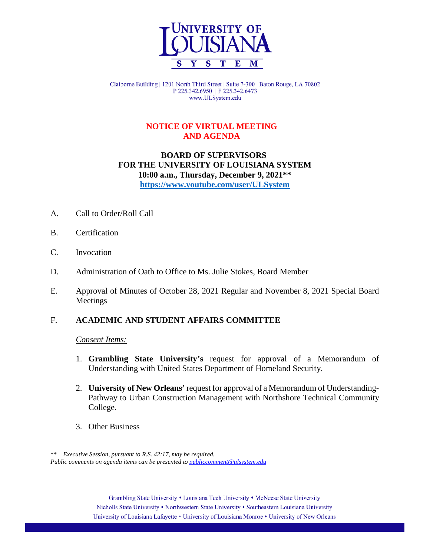

Claiborne Building | 1201 North Third Street | Suite 7-300 | Baton Rouge, LA 70802 P 225.342.6950 | F 225.342.6473 www.ULSystem.edu

# **NOTICE OF VIRTUAL MEETING AND AGENDA**

# **BOARD OF SUPERVISORS FOR THE UNIVERSITY OF LOUISIANA SYSTEM 10:00 a.m., Thursday, December 9, 2021\*\* <https://www.youtube.com/user/ULSystem>**

- A. Call to Order/Roll Call
- B. Certification
- C. Invocation
- D. Administration of Oath to Office to Ms. Julie Stokes, Board Member
- E. Approval of Minutes of October 28, 2021 Regular and November 8, 2021 Special Board Meetings

# F. **ACADEMIC AND STUDENT AFFAIRS COMMITTEE**

### *Consent Items:*

- 1. **Grambling State University's** request for approval of a Memorandum of Understanding with United States Department of Homeland Security.
- 2. **University of New Orleans'** request for approval of a Memorandum of Understanding-Pathway to Urban Construction Management with Northshore Technical Community College.
- 3. Other Business

 \*\* *Executive Session, pursuant to R.S. 42:17, may be required. Public comments on agenda items can be presented t[o publiccomment@ulsystem.edu](mailto:publiccomment@ulsystem.edu)*

> Grambling State University • Louisiana Tech University • McNeese State University Nicholls State University • Northwestern State University • Southeastern Louisiana University University of Louisiana Lafayette • University of Louisiana Monroe • University of New Orleans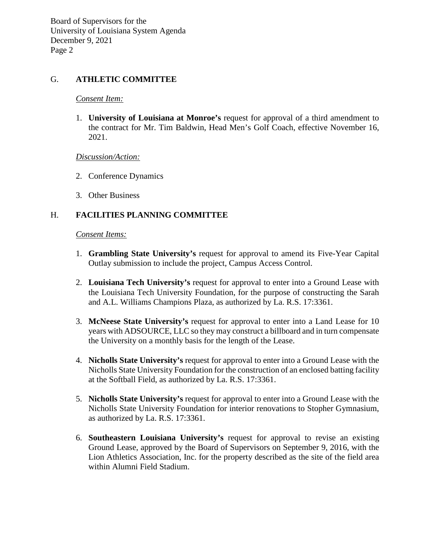### G. **ATHLETIC COMMITTEE**

#### *Consent Item:*

1. **University of Louisiana at Monroe's** request for approval of a third amendment to the contract for Mr. Tim Baldwin, Head Men's Golf Coach, effective November 16, 2021.

### *Discussion/Action:*

- 2. Conference Dynamics
- 3. Other Business

# H. **FACILITIES PLANNING COMMITTEE**

#### *Consent Items:*

- 1. **Grambling State University's** request for approval to amend its Five-Year Capital Outlay submission to include the project, Campus Access Control.
- 2. **Louisiana Tech University's** request for approval to enter into a Ground Lease with the Louisiana Tech University Foundation, for the purpose of constructing the Sarah and A.L. Williams Champions Plaza, as authorized by La. R.S. 17:3361.
- 3. **McNeese State University's** request for approval to enter into a Land Lease for 10 years with ADSOURCE, LLC so they may construct a billboard and in turn compensate the University on a monthly basis for the length of the Lease.
- 4. **Nicholls State University's** request for approval to enter into a Ground Lease with the Nicholls State University Foundation for the construction of an enclosed batting facility at the Softball Field, as authorized by La. R.S. 17:3361.
- 5. **Nicholls State University's** request for approval to enter into a Ground Lease with the Nicholls State University Foundation for interior renovations to Stopher Gymnasium, as authorized by La. R.S. 17:3361.
- 6. **Southeastern Louisiana University's** request for approval to revise an existing Ground Lease, approved by the Board of Supervisors on September 9, 2016, with the Lion Athletics Association, Inc. for the property described as the site of the field area within Alumni Field Stadium.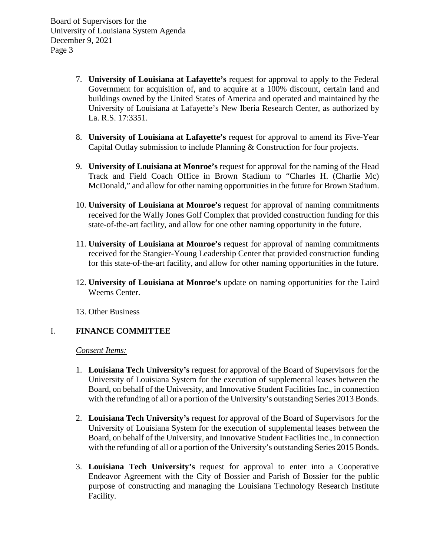- 7. **University of Louisiana at Lafayette's** request for approval to apply to the Federal Government for acquisition of, and to acquire at a 100% discount, certain land and buildings owned by the United States of America and operated and maintained by the University of Louisiana at Lafayette's New Iberia Research Center, as authorized by La. R.S. 17:3351.
- 8. **University of Louisiana at Lafayette's** request for approval to amend its Five-Year Capital Outlay submission to include Planning & Construction for four projects.
- 9. **University of Louisiana at Monroe's** request for approval for the naming of the Head Track and Field Coach Office in Brown Stadium to "Charles H. (Charlie Mc) McDonald," and allow for other naming opportunities in the future for Brown Stadium.
- 10. **University of Louisiana at Monroe's** request for approval of naming commitments received for the Wally Jones Golf Complex that provided construction funding for this state-of-the-art facility, and allow for one other naming opportunity in the future.
- 11. **University of Louisiana at Monroe's** request for approval of naming commitments received for the Stangier-Young Leadership Center that provided construction funding for this state-of-the-art facility, and allow for other naming opportunities in the future.
- 12. **University of Louisiana at Monroe's** update on naming opportunities for the Laird Weems Center.
- 13. Other Business

# I. **FINANCE COMMITTEE**

*Consent Items:*

- 1. **Louisiana Tech University's** request for approval of the Board of Supervisors for the University of Louisiana System for the execution of supplemental leases between the Board, on behalf of the University, and Innovative Student Facilities Inc., in connection with the refunding of all or a portion of the University's outstanding Series 2013 Bonds.
- 2. **Louisiana Tech University's** request for approval of the Board of Supervisors for the University of Louisiana System for the execution of supplemental leases between the Board, on behalf of the University, and Innovative Student Facilities Inc., in connection with the refunding of all or a portion of the University's outstanding Series 2015 Bonds.
- 3. **Louisiana Tech University's** request for approval to enter into a Cooperative Endeavor Agreement with the City of Bossier and Parish of Bossier for the public purpose of constructing and managing the Louisiana Technology Research Institute Facility.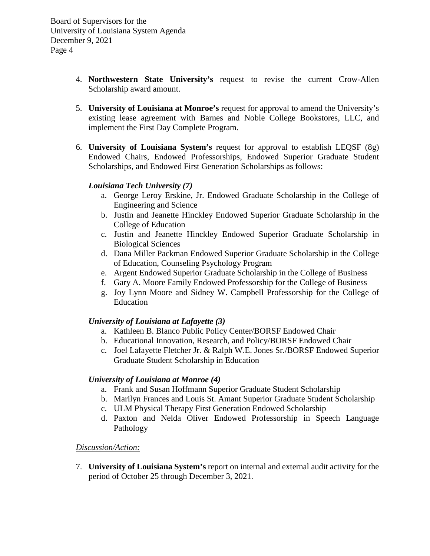- 4. **Northwestern State University's** request to revise the current Crow-Allen Scholarship award amount.
- 5. **University of Louisiana at Monroe's** request for approval to amend the University's existing lease agreement with Barnes and Noble College Bookstores, LLC, and implement the First Day Complete Program.
- 6. **University of Louisiana System's** request for approval to establish LEQSF (8g) Endowed Chairs, Endowed Professorships, Endowed Superior Graduate Student Scholarships, and Endowed First Generation Scholarships as follows:

### *Louisiana Tech University (7)*

- a. George Leroy Erskine, Jr. Endowed Graduate Scholarship in the College of Engineering and Science
- b. Justin and Jeanette Hinckley Endowed Superior Graduate Scholarship in the College of Education
- c. Justin and Jeanette Hinckley Endowed Superior Graduate Scholarship in Biological Sciences
- d. Dana Miller Packman Endowed Superior Graduate Scholarship in the College of Education, Counseling Psychology Program
- e. Argent Endowed Superior Graduate Scholarship in the College of Business
- f. Gary A. Moore Family Endowed Professorship for the College of Business
- g. Joy Lynn Moore and Sidney W. Campbell Professorship for the College of Education

# *University of Louisiana at Lafayette (3)*

- a. Kathleen B. Blanco Public Policy Center/BORSF Endowed Chair
- b. Educational Innovation, Research, and Policy/BORSF Endowed Chair
- c. Joel Lafayette Fletcher Jr. & Ralph W.E. Jones Sr./BORSF Endowed Superior Graduate Student Scholarship in Education

### *University of Louisiana at Monroe (4)*

- a. Frank and Susan Hoffmann Superior Graduate Student Scholarship
- b. Marilyn Frances and Louis St. Amant Superior Graduate Student Scholarship
- c. ULM Physical Therapy First Generation Endowed Scholarship
- d. Paxton and Nelda Oliver Endowed Professorship in Speech Language Pathology

### *Discussion/Action:*

7. **University of Louisiana System's** report on internal and external audit activity for the period of October 25 through December 3, 2021.